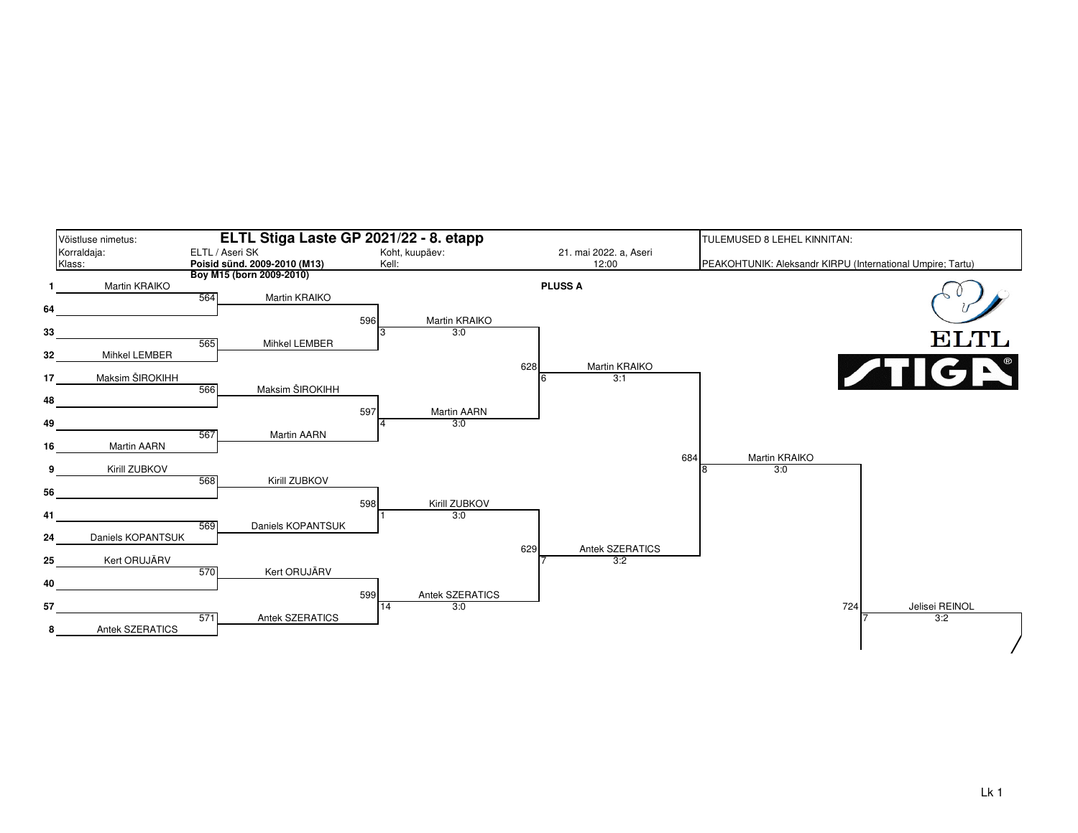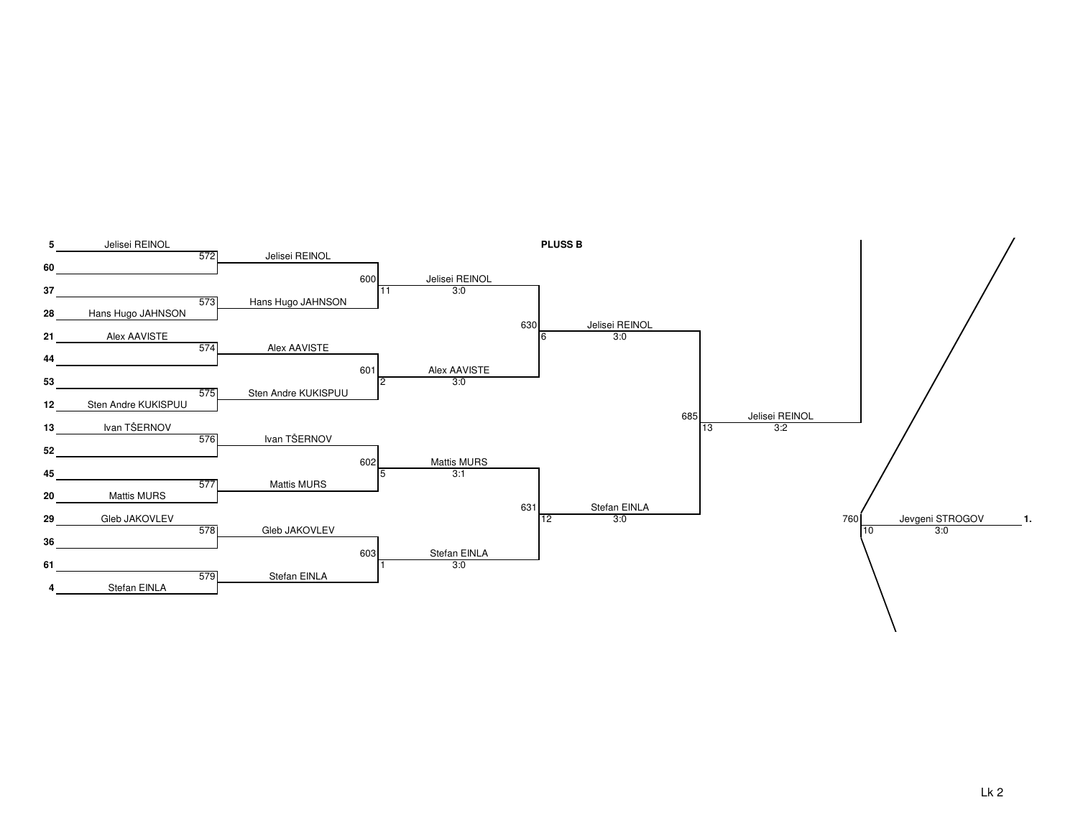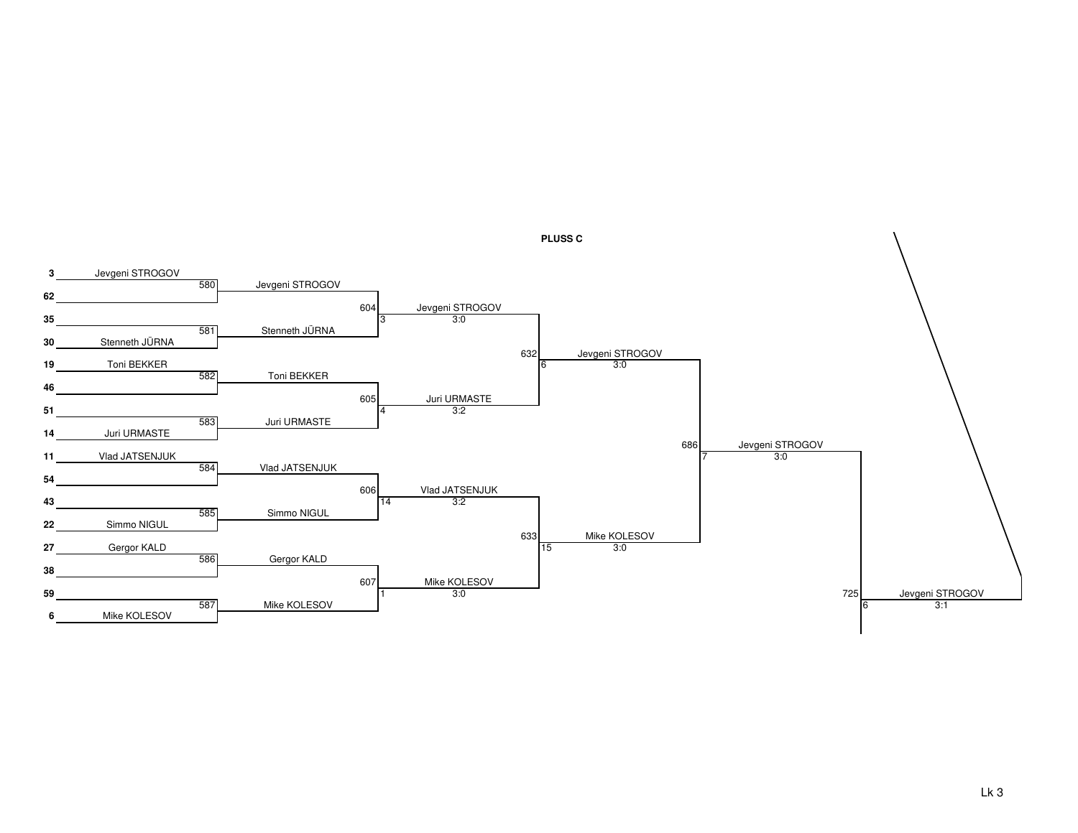

**PLUSS C**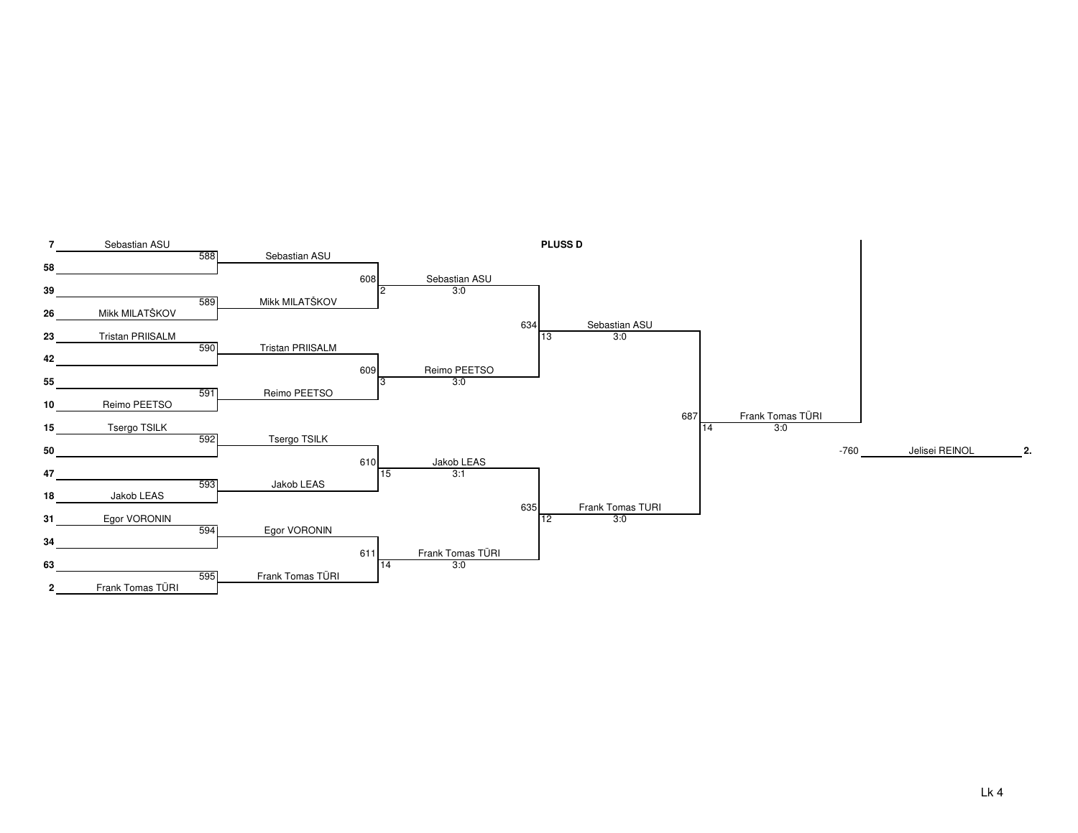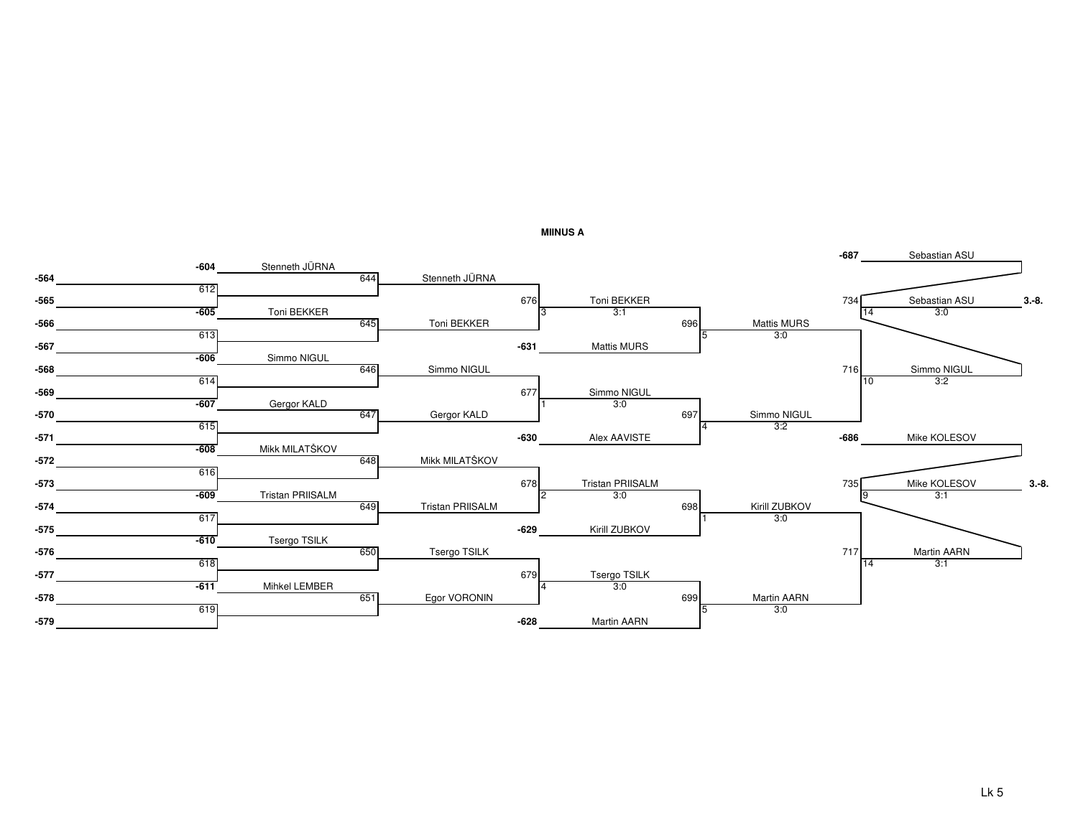

**MIINUS A**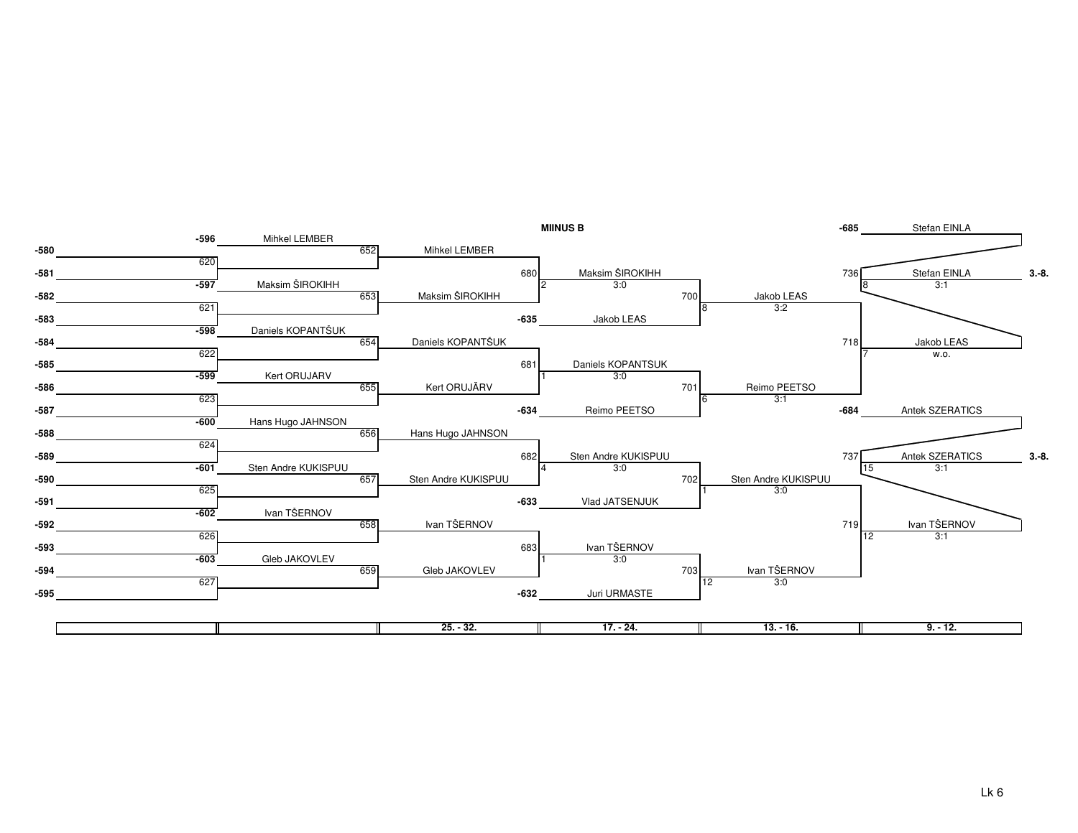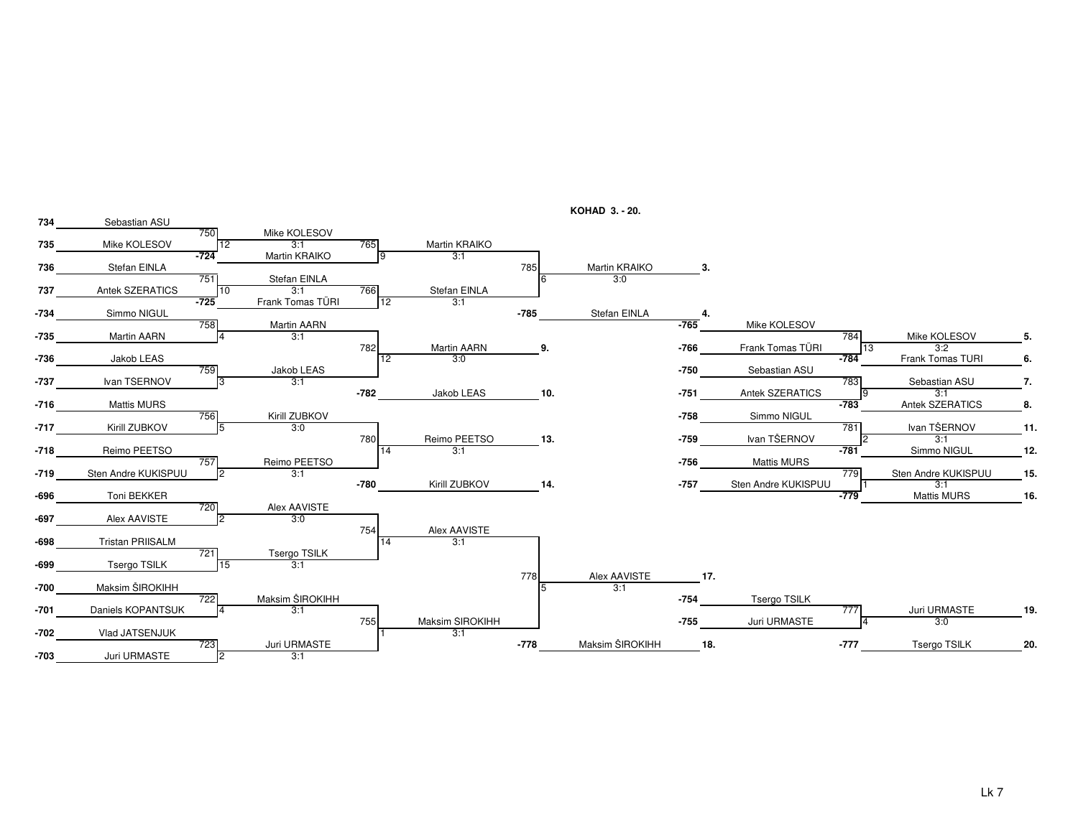

**KOHAD 3. - 20.**